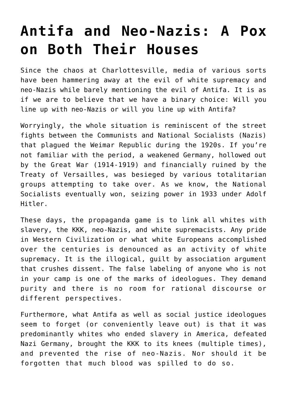## **[Antifa and Neo-Nazis: A Pox](https://intellectualtakeout.org/2017/08/antifa-and-neo-nazis-a-pox-on-both-their-houses/) [on Both Their Houses](https://intellectualtakeout.org/2017/08/antifa-and-neo-nazis-a-pox-on-both-their-houses/)**

Since the chaos at Charlottesville, media of various sorts have been hammering away at the evil of white supremacy and neo-Nazis while barely mentioning the evil of Antifa. It is as if we are to believe that we have a binary choice: Will you line up with neo-Nazis or will you line up with Antifa?

Worryingly, the whole situation is reminiscent of the street fights between the Communists and National Socialists (Nazis) that plagued the Weimar Republic during the 1920s. If you're not familiar with the period, a weakened Germany, hollowed out by the Great War (1914-1919) and financially ruined by the Treaty of Versailles, was besieged by various totalitarian groups attempting to take over. As we know, the National Socialists eventually won, seizing power in 1933 under Adolf Hitler.

These days, the propaganda game is to link all whites with slavery, the KKK, neo-Nazis, and white supremacists. Any pride in Western Civilization or what white Europeans accomplished over the centuries is denounced as an activity of white supremacy. It is the illogical, guilt by association argument that crushes dissent. The false labeling of anyone who is not in your camp is one of the marks of ideologues. They demand purity and there is no room for rational discourse or different perspectives.

Furthermore, what Antifa as well as social justice ideologues seem to forget (or conveniently leave out) is that it was predominantly whites who ended slavery in America, defeated Nazi Germany, brought the KKK to its knees (multiple times), and prevented the rise of neo-Nazis. Nor should it be forgotten that much blood was spilled to do so.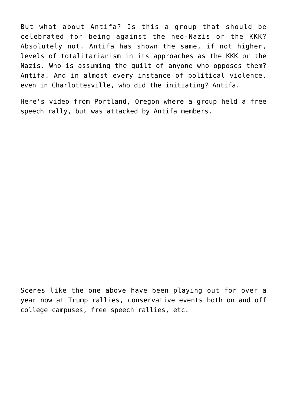But what about Antifa? Is this a group that should be celebrated for being against the neo-Nazis or the KKK? Absolutely not. Antifa has shown the same, if not higher, levels of totalitarianism in its approaches as the KKK or the Nazis. Who is assuming the guilt of anyone who opposes them? Antifa. And in almost every instance of political violence, even in Charlottesville, who did the initiating? Antifa.

Here's video from Portland, Oregon where a group held a free speech rally, but was attacked by Antifa members.

Scenes like the one above have been playing out for over a year now at Trump rallies, conservative events both on and off college campuses, free speech rallies, etc.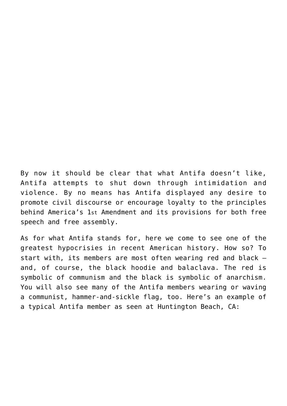By now it should be clear that what Antifa doesn't like, Antifa attempts to shut down through intimidation and violence. By no means has Antifa displayed any desire to promote civil discourse or encourage loyalty to the principles behind America's 1st Amendment and its provisions for both free speech and free assembly.

As for what Antifa stands for, here we come to see one of the greatest hypocrisies in recent American history. How so? To start with, its members are most often wearing red and black and, of course, the black hoodie and balaclava. The red is symbolic of communism and the black is symbolic of anarchism. You will also see many of the Antifa members wearing or waving a communist, hammer-and-sickle flag, too. Here's an example of a typical Antifa member as seen at Huntington Beach, CA: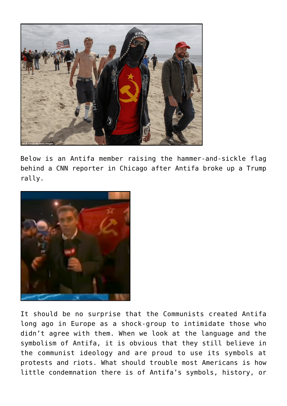

Below is an Antifa member raising the hammer-and-sickle flag behind a CNN reporter in Chicago after Antifa broke up a Trump rally.



It should be no surprise that the Communists created Antifa long ago in Europe as a shock-group to intimidate those who didn't agree with them. When we look at the language and the symbolism of Antifa, it is obvious that they still believe in the communist ideology and are proud to use its symbols at protests and riots. What should trouble most Americans is how little condemnation there is of Antifa's symbols, history, or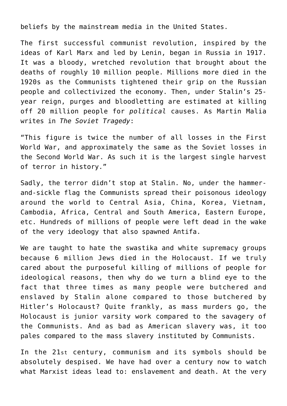beliefs by the mainstream media in the United States.

The first successful communist revolution, inspired by the ideas of Karl Marx and led by Lenin, began in Russia in 1917. It was a bloody, wretched revolution that brought about the deaths of roughly 10 million people. Millions more died in the 1920s as the Communists tightened their grip on the Russian people and collectivized the economy. Then, under Stalin's 25 year reign, purges and bloodletting are estimated at killing off 20 million people for *political* causes. As Martin Malia writes in *The Soviet Tragedy*:

"This figure is twice the number of all losses in the First World War, and approximately the same as the Soviet losses in the Second World War. As such it is the largest single harvest of terror in history."

Sadly, the terror didn't stop at Stalin. No, under the hammerand-sickle flag the Communists spread their poisonous ideology around the world to Central Asia, China, Korea, Vietnam, Cambodia, Africa, Central and South America, Eastern Europe, etc. Hundreds of millions of people were left dead in the wake of the very ideology that also spawned Antifa.

We are taught to hate the swastika and white supremacy groups because 6 million Jews died in the Holocaust. If we truly cared about the purposeful killing of millions of people for ideological reasons, then why do we turn a blind eye to the fact that three times as many people were butchered and enslaved by Stalin alone compared to those butchered by Hitler's Holocaust? Quite frankly, as mass murders go, the Holocaust is junior varsity work compared to the savagery of the Communists. And as bad as American slavery was, it too pales compared to the mass slavery instituted by Communists.

In the 21st century, communism and its symbols should be absolutely despised. We have had over a century now to watch what Marxist ideas lead to: enslavement and death. At the very